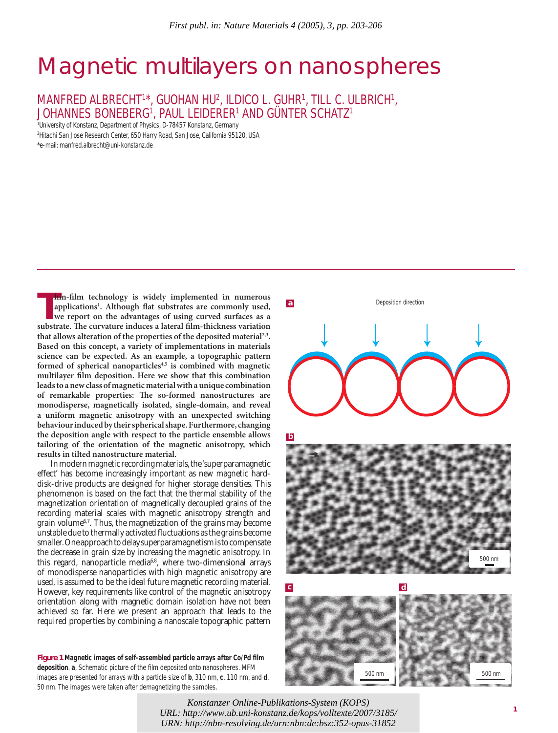# Magnetic multilayers on nanospheres

MANFRED ALBRECHT<sup>1\*</sup>, GUOHAN HU<sup>2</sup>, ILDICO L. GUHR<sup>1</sup>, TILL C. ULBRICH<sup>1</sup>, JOHANNES BONEBERG1 , PAUL LEIDERER1 AND GÜNTER SCHATZ1

1 University of Konstanz, Department of Physics, D-78457 Konstanz, Germany

2 Hitachi San Jose Research Center, 650 Harry Road, San Jose, California 95120, USA

\*e-mail: manfred.albrecht@uni-konstanz.de

**Thin-film technology is widely implemented in numerous applications<sup>1</sup>. Although flat substrates are commonly used, we report on the advantages of using curved surfaces as a substrate. The curvature induces a lateral film hin-film technology is widely implemented in numerous** applications<sup>1</sup>. Although flat substrates are commonly used, **we report on the advantages of using curved surfaces as a**  that allows alteration of the properties of the deposited material<sup>2,3</sup>. **Based on this concept, a variety of implementations in materials science can be expected. As an example, a topographic pattern**  formed of spherical nanoparticles<sup>4,5</sup> is combined with magnetic multilayer film deposition. Here we show that this combination **leads to a new class of magnetic material with a unique combination**  of remarkable properties: The so-formed nanostructures are **monodisperse, magnetically isolated, single-domain, and reveal a uniform magnetic anisotropy with an unexpected switching behaviour induced by their spherical shape. Furthermore, changing the deposition angle with respect to the particle ensemble allows tailoring of the orientation of the magnetic anisotropy, which results in tilted nanostructure material.**

In modern magnetic recording materials, the 'superparamagnetic effect' has become increasingly important as new magnetic harddisk-drive products are designed for higher storage densities. This phenomenon is based on the fact that the thermal stability of the magnetization orientation of magnetically decoupled grains of the recording material scales with magnetic anisotropy strength and grain volume6,7*.* Thus, the magnetization of the grains may become unstable due to thermally activated fluctuations as the grains become smaller. One approach to delay superparamagnetism is to compensate the decrease in grain size by increasing the magnetic anisotropy. In this regard, nanoparticle media<sup>6,8</sup>, where two-dimensional arrays of monodisperse nanoparticles with high magnetic anisotropy are used, is assumed to be the ideal future magnetic recording material. However, key requirements like control of the magnetic anisotropy orientation along with magnetic domain isolation have not been achieved so far. Here we present an approach that leads to the required properties by combining a nanoscale topographic pattern

**Figure 1** Magnetic images of self-assembled particle arrays after Co/Pd film **deposition. a**, Schematic picture of the film deposited onto nanospheres. MFM images are presented for arrays with a particle size of **b**, 310 nm, **c**, 110 nm, and **d**, 50 nm. The images were taken after demagnetizing the samples.



*URL: http://www.ub.uni-konstanz.de/kops/volltexte/2007/3185/* <sup>1</sup> *Konstanzer Online-Publikations-System (KOPS) URN:<http://nbn-resolving.de/urn:nbn:de:bsz:352-opus-31852>*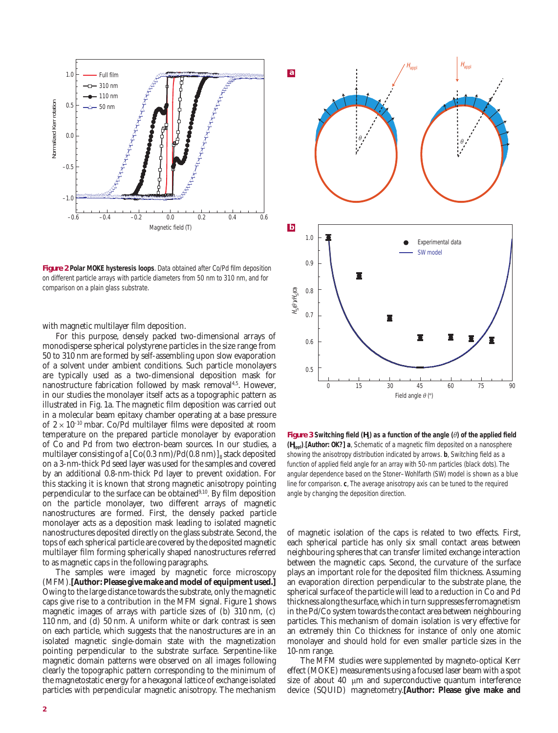

**Figure 2 Polar MOKE hysteresis loops**. Data obtained after Co/Pd film deposition on different particle arrays with particle diameters from 50 nm to 310 nm, and for comparison on a plain glass substrate.

with magnetic multilayer film deposition.

For this purpose, densely packed two-dimensional arrays of monodisperse spherical polystyrene particles in the size range from 50 to 310 nm are formed by self-assembling upon slow evaporation of a solvent under ambient conditions. Such particle monolayers are typically used as a two-dimensional deposition mask for nanostructure fabrication followed by mask removal<sup>4,5</sup>. However, in our studies the monolayer itself acts as a topographic pattern as illustrated in Fig. 1a. The magnetic film deposition was carried out in a molecular beam epitaxy chamber operating at a base pressure of  $2 \times 10^{-10}$  mbar. Co/Pd multilayer films were deposited at room temperature on the prepared particle monolayer by evaporation of Co and Pd from two electron-beam sources. In our studies, a multilayer consisting of a  $[Co(0.3 \text{ nm})/Pd(0.8 \text{ nm})]_8$  stack deposited on a 3-nm-thick Pd seed layer was used for the samples and covered by an additional 0.8-nm-thick Pd layer to prevent oxidation. For this stacking it is known that strong magnetic anisotropy pointing perpendicular to the surface can be obtained<sup>9,10</sup>. By film deposition on the particle monolayer, two different arrays of magnetic nanostructures are formed. First, the densely packed particle monolayer acts as a deposition mask leading to isolated magnetic nanostructures deposited directly on the glass substrate. Second, the tops of each spherical particle are covered by the deposited magnetic multilayer film forming spherically shaped nanostructures referred to as magnetic caps in the following paragraphs.

The samples were imaged by magnetic force microscopy (MFM).**[Author: Please give make and model of equipment used.]** Owing to the large distance towards the substrate, only the magnetic caps give rise to a contribution in the MFM signal. Figure 1 shows magnetic images of arrays with particle sizes of (b) 310 nm, (c) 110 nm, and (d) 50 nm. A uniform white or dark contrast is seen on each particle, which suggests that the nanostructures are in an isolated magnetic single-domain state with the magnetization pointing perpendicular to the substrate surface. Serpentine-like magnetic domain patterns were observed on all images following clearly the topographic pattern corresponding to the minimum of the magnetostatic energy for a hexagonal lattice of exchange isolated particles with perpendicular magnetic anisotropy. The mechanism



**Figure 3** Switching field  $(H_s)$  as a function of the angle  $(\theta)$  of the applied field **(** $H_{\text{anol}}$ **).[Author: OK?] a**, Schematic of a magnetic film deposited on a nanosphere showing the anisotropy distribution indicated by arrows. **b**, Switching field as a function of applied field angle for an array with 50-nm particles (black dots). The angular dependence based on the Stoner–Wohlfarth (SW) model is shown as a blue line for comparison. **c**, The average anisotropy axis can be tuned to the required angle by changing the deposition direction.

of magnetic isolation of the caps is related to two effects. First, each spherical particle has only six small contact areas between neighbouring spheres that can transfer limited exchange interaction between the magnetic caps. Second, the curvature of the surface plays an important role for the deposited film thickness. Assuming an evaporation direction perpendicular to the substrate plane, the spherical surface of the particle will lead to a reduction in Co and Pd thickness along the surface, which in turn suppresses ferromagnetism in the Pd/Co system towards the contact area between neighbouring particles. This mechanism of domain isolation is very effective for an extremely thin Co thickness for instance of only one atomic monolayer and should hold for even smaller particle sizes in the 10-nm range.

The MFM studies were supplemented by magneto-optical Kerr effect (MOKE) measurements using a focused laser beam with a spot size of about 40 μm and superconductive quantum interference device (SQUID) magnetometry.**[Author: Please give make and**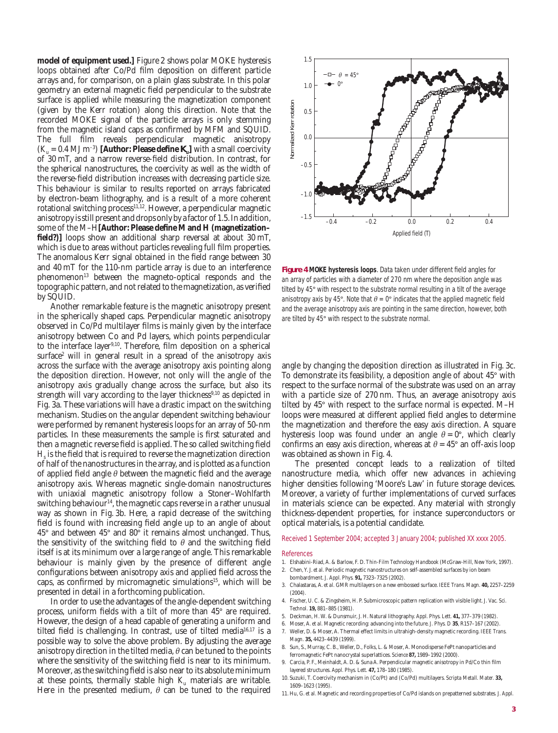**model of equipment used.]** Figure 2 shows polar MOKE hysteresis loops obtained after Co/Pd film deposition on different particle arrays and, for comparison, on a plain glass substrate. In this polar geometry an external magnetic field perpendicular to the substrate surface is applied while measuring the magnetization component (given by the Kerr rotation) along this direction. Note that the recorded MOKE signal of the particle arrays is only stemming from the magnetic island caps as confirmed by MFM and SQUID. The full film reveals perpendicular magnetic anisotropy  $(K_u = 0.4 \text{ MJ m}^{-3})$  [Author: Please define  $K_u$ ] with a small coercivity of 30 mT, and a narrow reverse-field distribution. In contrast, for the spherical nanostructures, the coercivity as well as the width of the reverse-field distribution increases with decreasing particle size. This behaviour is similar to results reported on arrays fabricated by electron-beam lithography, and is a result of a more coherent rotational switching process<sup>11,12</sup>. However, a perpendicular magnetic anisotropy is still present and drops only by a factor of 1.5. In addition, some of the M-H<sup>[Author: Please define M and H (magnetization-</sup> field?)] loops show an additional sharp reversal at about 30 mT, which is due to areas without particles revealing full film properties. The anomalous Kerr signal obtained in the field range between 30 and 40 mT for the 110-nm particle array is due to an interference phenomenon<sup>13</sup> between the magneto-optical responds and the topographic pattern, and not related to the magnetization, as verified by SQUID.

Another remarkable feature is the magnetic anisotropy present in the spherically shaped caps. Perpendicular magnetic anisotropy observed in Co/Pd multilayer films is mainly given by the interface anisotropy between Co and Pd layers, which points perpendicular to the interface layer<sup>9,10</sup>. Therefore, film deposition on a spherical  $\text{surface}^2$  will in general result in a spread of the anisotropy axis across the surface with the average anisotropy axis pointing along the deposition direction. However, not only will the angle of the anisotropy axis gradually change across the surface, but also its strength will vary according to the layer thickness<sup>9,10</sup> as depicted in Fig. 3a. These variations will have a drastic impact on the switching mechanism. Studies on the angular dependent switching behaviour were performed by remanent hysteresis loops for an array of 50-nm particles. In these measurements the sample is first saturated and then a magnetic reverse field is applied. The so called switching field  $H<sub>s</sub>$  is the field that is required to reverse the magnetization direction of half of the nanostructures in the array, and is plotted as a function of applied field angle  $\theta$  between the magnetic field and the average anisotropy axis. Whereas magnetic single-domain nanostructures with uniaxial magnetic anisotropy follow a Stoner–Wohlfarth switching behaviour<sup>14</sup>, the magnetic caps reverse in a rather unusual way as shown in Fig. 3b. Here, a rapid decrease of the switching field is found with increasing field angle up to an angle of about 45° and between 45° and 80° it remains almost unchanged. Thus, the sensitivity of the switching field to  $\theta$  and the switching field itself is at its minimum over a large range of angle. This remarkable behaviour is mainly given by the presence of different angle configurations between anisotropy axis and applied field across the caps, as confirmed by micromagnetic simulations<sup>15</sup>, which will be presented in detail in a forthcoming publication.

In order to use the advantages of the angle-dependent switching process, uniform fields with a tilt of more than 45° are required. However, the design of a head capable of generating a uniform and tilted field is challenging. In contrast, use of tilted media<sup>16,17</sup> is a possible way to solve the above problem. By adjusting the average anisotropy direction in the tilted media,  $\theta$  can be tuned to the points where the sensitivity of the switching field is near to its minimum. Moreover, as the switching field is also near to its absolute minimum at these points, thermally stable high  $K_u$  materials are writable. Here in the presented medium,  $\theta$  can be tuned to the required



**Figure 4 MOKE hysteresis loops**. Data taken under different field angles for an array of particles with a diameter of 270 nm where the deposition angle was tilted by 45° with respect to the substrate normal resulting in a tilt of the average anisotropy axis by 45°. Note that  $\theta = 0^\circ$  indicates that the applied magnetic field and the average anisotropy axis are pointing in the same direction, however, both are tilted by 45° with respect to the substrate normal.

angle by changing the deposition direction as illustrated in Fig. 3c. To demonstrate its feasibility, a deposition angle of about 45° with respect to the surface normal of the substrate was used on an array with a particle size of 270 nm. Thus, an average anisotropy axis tilted by 45° with respect to the surface normal is expected. M–H loops were measured at different applied field angles to determine the magnetization and therefore the easy axis direction. A square hysteresis loop was found under an angle  $\theta = 0^{\circ}$ , which clearly confirms an easy axis direction, whereas at  $\theta = 45^{\circ}$  an off-axis loop was obtained as shown in Fig. 4.

The presented concept leads to a realization of tilted nanostructure media, which offer new advances in achieving higher densities following 'Moore's Law' in future storage devices. Moreover, a variety of further implementations of curved surfaces in materials science can be expected. Any material with strongly thickness-dependent properties, for instance superconductors or optical materials, is a potential candidate.

Received 1 September 2004; accepted 3 January 2004; published XX xxxx 2005.

### References

- 1. Elshabini-Riad, A. & Barlow, F. D. *Thin-Film Technology Handbook* (McGraw-Hill, New York, 1997).
- 2. Chen, Y. J. *et al.* Periodic magnetic nanostructures on self-assembled surfaces by ion beam bombardment. *J. Appl. Phys.* **91,** 7323–7325 (2002).
- 3. Chalastaras, A. *et al.* GMR multilayers on a new embossed surface. *IEEE Trans. Magn.* **40,** 2257–2259 (2004).
- 4. Fischer, U. C. & Zingsheim, H. P. Submicroscopic pattern replication with visible light. *J. Vac. Sci. Technol.* **19,** 881–885 (1981).
- 5. Deckman, H. W. & Dunsmuir, J. H. Natural lithography. *Appl. Phys. Lett.* **41,** 377–379 (1982).
- 6. Moser, A. *et al.* Magnetic recording: advancing into the future. *J. Phys. D* **35**, R157–167 (2002).
- 7. Weller, D. & Moser, A. Thermal effect limits in ultrahigh-density magnetic recording. *IEEE Trans. Magn.* **35,** 4423–4439 (1999).
- 8. Sun, S., Murray, C. B., Weller, D., Folks, L. & Moser, A. Monodisperse FePt nanoparticles and ferromagnetic FePt nanocrystal superlattices. *Science* **87,** 1989–1992 (2000).
- 9. Carcia, P. F., Meinhaldt, A. D. & Suna A. Perpendicular magnetic anisotropy in Pd/Co thin film layered structures. *Appl. Phys. Lett.* **47,** 178–180 (1985).
- 10. Suzuki, T. Coercivity mechanism in (Co/Pt) and (Co/Pd) multilayers. *Scripta Metall. Mater.* **33,** 1609–1623 (1995).
- 11. Hu, G. *et al.* Magnetic and recording properties of Co/Pd islands on prepatterned substrates. *J. Appl.*